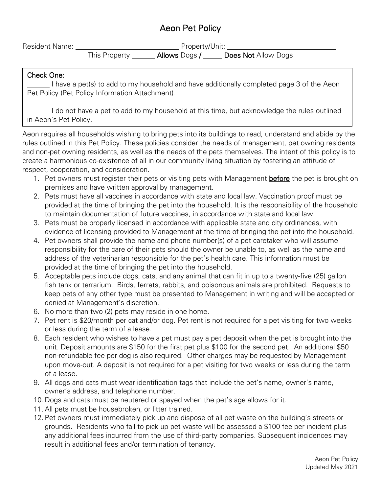# Aeon Pet Policy

| <b>Resident Name:</b> | Property/Unit: |               |                     |
|-----------------------|----------------|---------------|---------------------|
|                       | This Property  | Allows Dogs / | Does Not Allow Dogs |

#### Check One:

I have a pet(s) to add to my household and have additionally completed page 3 of the Aeon Pet Policy (Pet Policy Information Attachment).

I do not have a pet to add to my household at this time, but acknowledge the rules outlined in Aeon's Pet Policy.

Aeon requires all households wishing to bring pets into its buildings to read, understand and abide by the rules outlined in this Pet Policy. These policies consider the needs of management, pet owning residents and non-pet owning residents, as well as the needs of the pets themselves. The intent of this policy is to create a harmonious co-existence of all in our community living situation by fostering an attitude of respect, cooperation, and consideration.

- 1. Pet owners must register their pets or visiting pets with Management before the pet is brought on premises and have written approval by management.
- 2. Pets must have all vaccines in accordance with state and local law. Vaccination proof must be provided at the time of bringing the pet into the household. It is the responsibility of the household to maintain documentation of future vaccines, in accordance with state and local law.
- 3. Pets must be properly licensed in accordance with applicable state and city ordinances, with evidence of licensing provided to Management at the time of bringing the pet into the household.
- 4. Pet owners shall provide the name and phone number(s) of a pet caretaker who will assume responsibility for the care of their pets should the owner be unable to, as well as the name and address of the veterinarian responsible for the pet's health care. This information must be provided at the time of bringing the pet into the household.
- 5. Acceptable pets include dogs, cats, and any animal that can fit in up to a twenty-five (25) gallon fish tank or terrarium. Birds, ferrets, rabbits, and poisonous animals are prohibited. Requests to keep pets of any other type must be presented to Management in writing and will be accepted or denied at Management's discretion.
- 6. No more than two (2) pets may reside in one home.
- 7. Pet rent is \$20/month per cat and/or dog. Pet rent is not required for a pet visiting for two weeks or less during the term of a lease.
- 8. Each resident who wishes to have a pet must pay a pet deposit when the pet is brought into the unit. Deposit amounts are \$150 for the first pet plus \$100 for the second pet. An additional \$50 non-refundable fee per dog is also required. Other charges may be requested by Management upon move-out. A deposit is not required for a pet visiting for two weeks or less during the term of a lease.
- 9. All dogs and cats must wear identification tags that include the pet's name, owner's name, owner's address, and telephone number.
- 10. Dogs and cats must be neutered or spayed when the pet's age allows for it.
- 11. All pets must be housebroken, or litter trained.
- 12. Pet owners must immediately pick up and dispose of all pet waste on the building's streets or grounds. Residents who fail to pick up pet waste will be assessed a \$100 fee per incident plus any additional fees incurred from the use of third-party companies. Subsequent incidences may result in additional fees and/or termination of tenancy.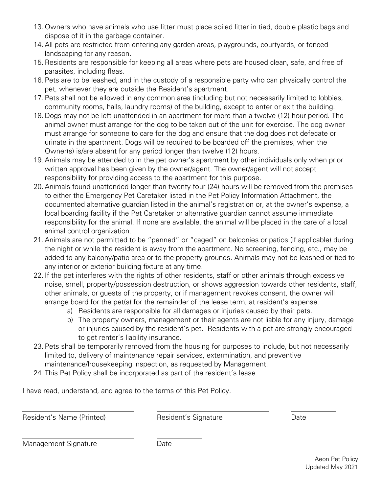- 13. Owners who have animals who use litter must place soiled litter in tied, double plastic bags and dispose of it in the garbage container.
- 14. All pets are restricted from entering any garden areas, playgrounds, courtyards, or fenced landscaping for any reason.
- 15. Residents are responsible for keeping all areas where pets are housed clean, safe, and free of parasites, including fleas.
- 16. Pets are to be leashed, and in the custody of a responsible party who can physically control the pet, whenever they are outside the Resident's apartment.
- 17. Pets shall not be allowed in any common area (including but not necessarily limited to lobbies, community rooms, halls, laundry rooms) of the building, except to enter or exit the building.
- 18. Dogs may not be left unattended in an apartment for more than a twelve (12) hour period. The animal owner must arrange for the dog to be taken out of the unit for exercise. The dog owner must arrange for someone to care for the dog and ensure that the dog does not defecate or urinate in the apartment. Dogs will be required to be boarded off the premises, when the Owner(s) is/are absent for any period longer than twelve (12) hours.
- 19. Animals may be attended to in the pet owner's apartment by other individuals only when prior written approval has been given by the owner/agent. The owner/agent will not accept responsibility for providing access to the apartment for this purpose.
- 20. Animals found unattended longer than twenty-four (24) hours will be removed from the premises to either the Emergency Pet Caretaker listed in the Pet Policy Information Attachment, the documented alternative guardian listed in the animal's registration or, at the owner's expense, a local boarding facility if the Pet Caretaker or alternative guardian cannot assume immediate responsibility for the animal. If none are available, the animal will be placed in the care of a local animal control organization.
- 21. Animals are not permitted to be "penned" or "caged" on balconies or patios (if applicable) during the night or while the resident is away from the apartment. No screening, fencing, etc., may be added to any balcony/patio area or to the property grounds. Animals may not be leashed or tied to any interior or exterior building fixture at any time.
- 22. If the pet interferes with the rights of other residents, staff or other animals through excessive noise, smell, property/possession destruction, or shows aggression towards other residents, staff, other animals, or guests of the property, or if management revokes consent, the owner will arrange board for the pet(s) for the remainder of the lease term, at resident's expense.
	- a) Residents are responsible for all damages or injuries caused by their pets.
	- b) The property owners, management or their agents are not liable for any injury, damage or injuries caused by the resident's pet. Residents with a pet are strongly encouraged to get renter's liability insurance.
- 23. Pets shall be temporarily removed from the housing for purposes to include, but not necessarily limited to, delivery of maintenance repair services, extermination, and preventive maintenance/housekeeping inspection, as requested by Management.
- 24. This Pet Policy shall be incorporated as part of the resident's lease.

I have read, understand, and agree to the terms of this Pet Policy.

Resident's Name (Printed) The Resident's Signature Controller and Date

Management Signature **Date** Date